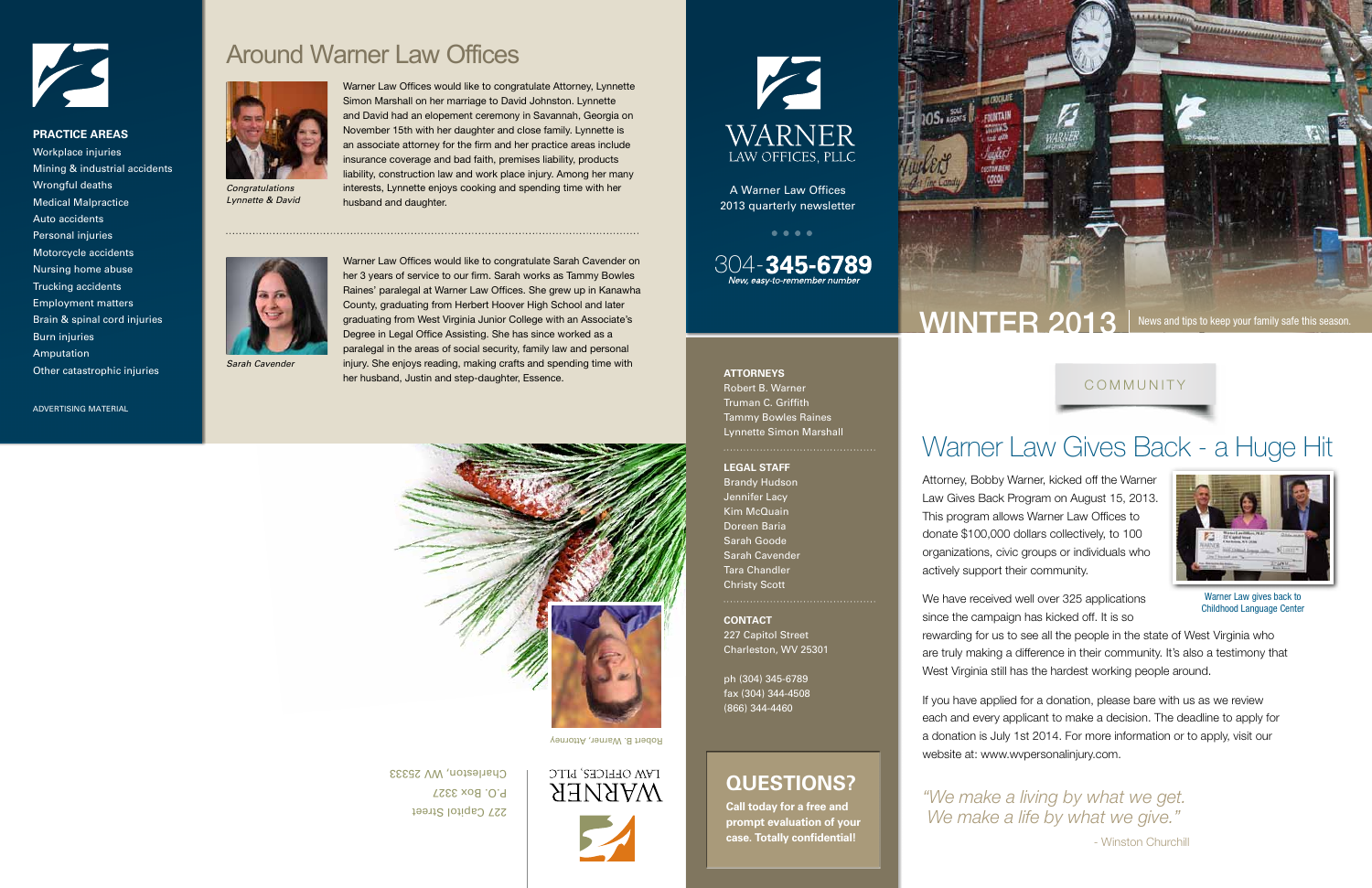**CONTACT** 227 Capitol Street Charleston, WV 25301

ph (304) 345-6789 fax (304) 344-4508 (866) 344-4460

#### **ATTORNEYS**

Robert B. Warner Truman C. Griffith Tammy Bowles Raines Lynnette Simon Marshall

#### **LEGAL STAFF**

Brandy Hudson Jennifer Lacy Kim McQuain Doreen Baria Sarah Goode Sarah Cavender Tara Chandler Christy Scott

A Warner Law Offices 2013 quarterly newsletter

304-345-6789

**Call today for a free and prompt evaluation of your case. Totally confidential!**



## **QUESTIONS?**

# Warner Law Gives Back - a Huge Hit

We have received well over 325 applications since the campaign has kicked off. It is so rewarding for us to see all the people in the state of West Virginia who are truly making a difference in their community. It's also a testimony that West Virginia still has the hardest working people around.

Attorney, Bobby Warner, kicked off the Warner Law Gives Back Program on August 15, 2013. This program allows Warner Law Offices to donate \$100,000 dollars collectively, to 100 organizations, civic groups or individuals who

actively support their community.

If you have applied for a donation, please bare with us as we review each and every applicant to make a decision. The deadline to apply for a donation is July 1st 2014. For more information or to apply, visit our website at: www.wvpersonalinjury.com.

Warner Law gives back to Childhood Language Center



COMMUNITY

227 Capitol Street P.O. Box 3327 Charleston, WV 25333



KS WARNER LAW OFFICES, PLLC

Robert B. Warner, Attorney

## Around Warner Law Offices

*Sarah Cavender*



*Lynnette & David*



Warner Law Offices would like to congratulate Attorney, Lynnette Simon Marshall on her marriage to David Johnston. Lynnette and David had an elopement ceremony in Savannah, Georgia on November 15th with her daughter and close family. Lynnette is an associate attorney for the firm and her practice areas include insurance coverage and bad faith, premises liability, products liability, construction law and work place injury. Among her many interests, Lynnette enjoys cooking and spending time with her



husband and daughter.

Warner Law Offices would like to congratulate Sarah Cavender on her 3 years of service to our firm. Sarah works as Tammy Bowles Raines' paralegal at Warner Law Offices. She grew up in Kanawha County, graduating from Herbert Hoover High School and later graduating from West Virginia Junior College with an Associate's Degree in Legal Office Assisting. She has since worked as a paralegal in the areas of social security, family law and personal injury. She enjoys reading, making crafts and spending time with her husband, Justin and step-daughter, Essence.

> *"We make a living by what we get. We make a life by what we give."*  - Winston Churchill

WINTER 2013 News and tips to keep your family safe this season.

ADVERTISING MATERIAL



#### **PRACTICE AREAS**

Workplace injuries Mining & industrial accidents Wrongful deaths Medical Malpractice Auto accidents Personal injuries Motorcycle accidents Nursing home abuse Trucking accidents Employment matters Brain & spinal cord injuries Burn injuries Amputation Other catastrophic injuries